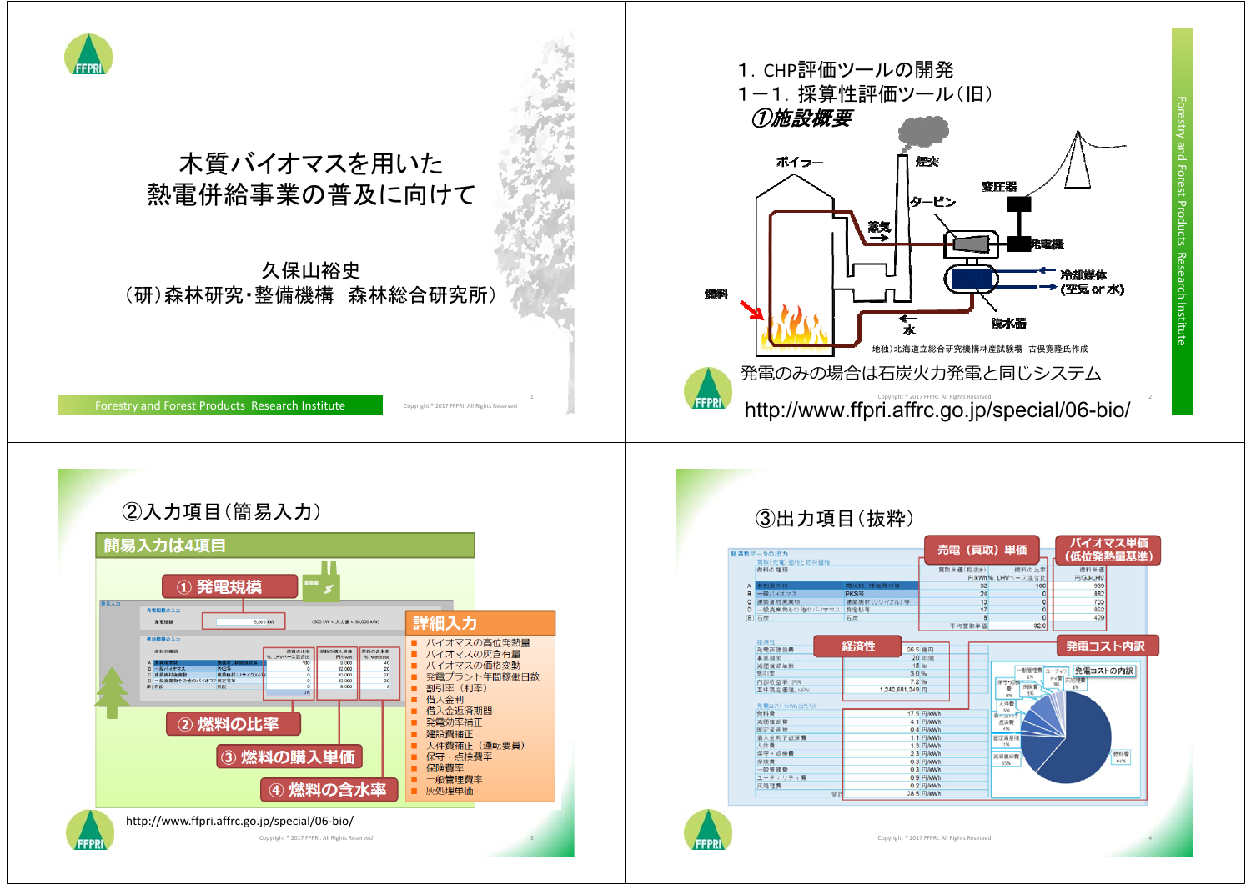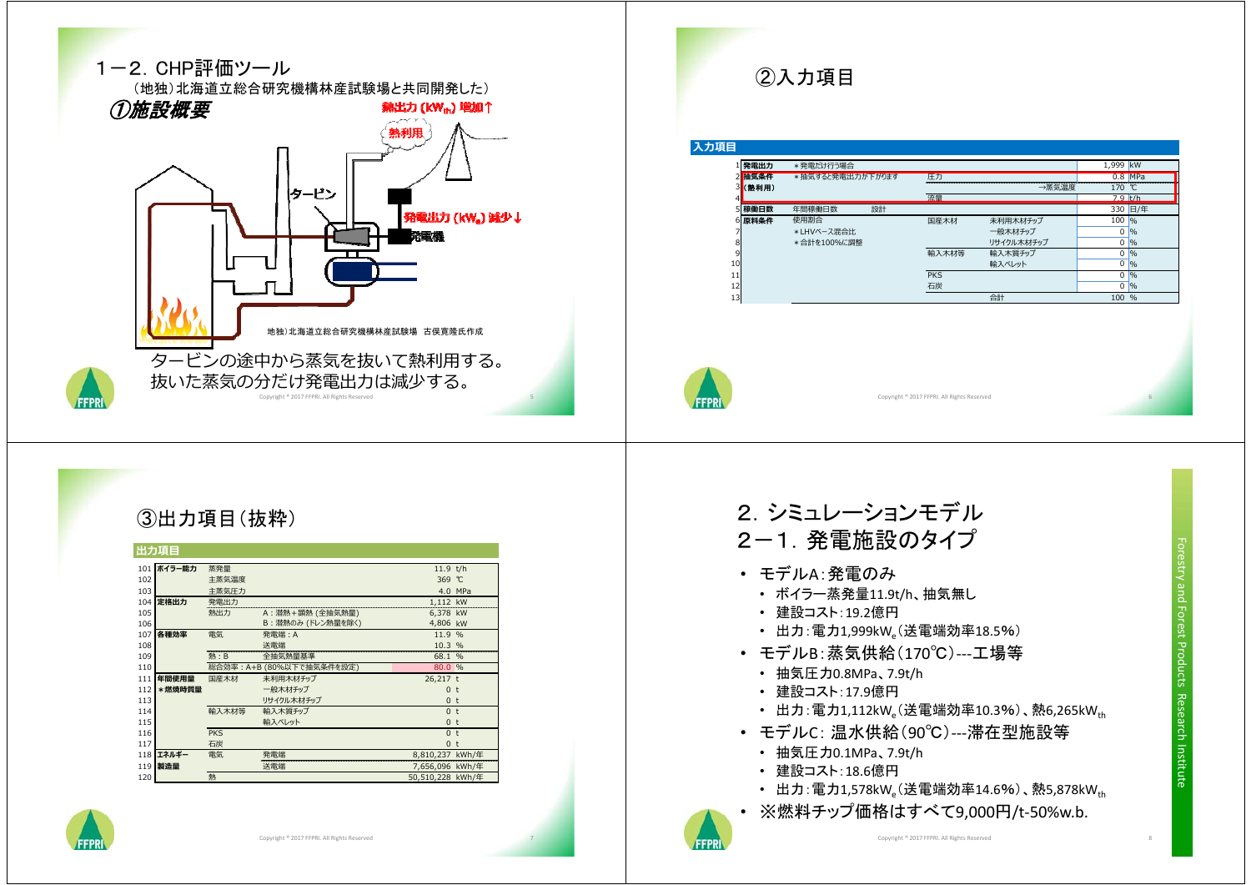

### ②入力項目

#### 入力項目

|    | 1 発電出力 | *発電だけ行う場合        |    |            |            | 1,999 kW  |               |
|----|--------|------------------|----|------------|------------|-----------|---------------|
|    | 2 抽気条件 | *抽気すると発電出力が下がります |    | 圧力         |            |           | $0.8$ MPa     |
|    | 3(熱利用) |                  |    |            | →蒸気温度      | 170       | ್.            |
|    |        |                  |    | 流量         |            | $7.9$ t/h |               |
|    | 5 稼働日数 | 年間稼働日数           | 設計 |            |            |           | 330 日/年       |
|    | 6 原料条件 | 使用割合             |    | 国産木材       | 未利用木材チップ   | 100       | 96            |
|    |        | *LHVベース混合比       |    |            | 一般木材チップ    | 0         | $\frac{9}{6}$ |
| 8  |        | *合計を100%に調整      |    |            | リサイクル木材チップ | 0         | $\frac{9}{6}$ |
| 9  |        |                  |    | 輸入木材等      | 輸入木質チップ    | 0         | 96            |
| 10 |        |                  |    |            | 輸入ペレット     | 0         | $\frac{9}{6}$ |
| 11 |        |                  |    | <b>PKS</b> |            | 0         | $\frac{9}{6}$ |
| 12 |        |                  |    | 石炭         |            | 0         | $\frac{9}{6}$ |
| 13 |        |                  |    |            | 合計         | 100       | %             |



FFPR

Copyright ® 2017 FFRRI. All Rights Reserved

#### ③出力項目(抜粋)

| 出力項目 |        |            |                           |                  |         |  |  |
|------|--------|------------|---------------------------|------------------|---------|--|--|
| 101  | ボイラー能力 | 蒸発量        |                           | 11.9 t/h         |         |  |  |
| 102  |        | 主蒸気温度      |                           | 369 °C           |         |  |  |
| 103  |        | 主蒸気圧力      |                           |                  | 4.0 MPa |  |  |
| 104  | 定格出力   | 発電出力       |                           | 1,112 kW         |         |  |  |
| 105  |        | 熱出力        | A:潜熱+顕熱 (全抽気熱量)           | 6,378 kW         |         |  |  |
| 106  |        |            | B: 潜熱のみ (ドレン熱量を除く)        | 4,806 kW         |         |  |  |
| 107  | 各種効率   | 電気         | 発電端:A                     | 11.9 %           |         |  |  |
| 108  |        |            | 送電端                       | 10.3 %           |         |  |  |
| 109  |        | 熱:B        | 全抽気熱量基準                   | 68.1 %           |         |  |  |
| 110  |        |            | 総合効率: A+B (80%以下で抽気条件を設定) | 80.0 %           |         |  |  |
| 111  | 年間使用量  | 国産木材       | 未利用木材チップ                  | 26,217 t         |         |  |  |
| 112  | *燃焼時質量 |            | 一般木材チップ                   | 0 <sub>t</sub>   |         |  |  |
| 113  |        |            | リサイクル木材チップ                | 0 <sub>t</sub>   |         |  |  |
| 114  |        | 輸入木材等      | 輸入木質チップ                   | 0 <sub>t</sub>   |         |  |  |
| 115  |        |            | 輸入ペレット                    | $\mathbf{0}$     | t       |  |  |
| 116  |        | <b>PKS</b> |                           | 0 <sub>t</sub>   |         |  |  |
| 117  |        | 石炭         |                           | 0 <sub>t</sub>   |         |  |  |
| 118  | エネルギー  | 電気         | 発電端                       | 8,810,237 kWh/年  |         |  |  |
| 119  | 製造量    |            | 送電端                       | 7,656,096 kWh/年  |         |  |  |
| 120  |        | 熱          |                           | 50,510,228 kWh/年 |         |  |  |



## 2.シミュレーションモデル 2-1.発電施設のタイプ • モデルA:発電のみ

- ボイラー蒸発量11.9t/h、抽気無し
- 建設コスト:19.2億円
- 出力:電力1,999kW (送電端効率18.5%)
- モデルB:蒸気供給(170℃)‐‐‐工場等
	- 抽気圧力0.8MPa、7.9t/h
	- 建設コスト:17.9億円
- 出力:電力1,112kW。(送電端効率10.3%)、熱6,265kW<sub>th</sub>
- モデルC: 温水供給(90℃)‐‐‐滞在型施設等
	- 抽気圧力0.1MPa、7.9t/h
	- 建設コスト:18.6億円
- 出力:電力1,578kW。(送電端効率14.6%)、熱5,878kW<sub>th</sub>
- ※燃料チップ価格はすべて9,000円/t‐50%w.b.

Forestry and Forest Products Research Institute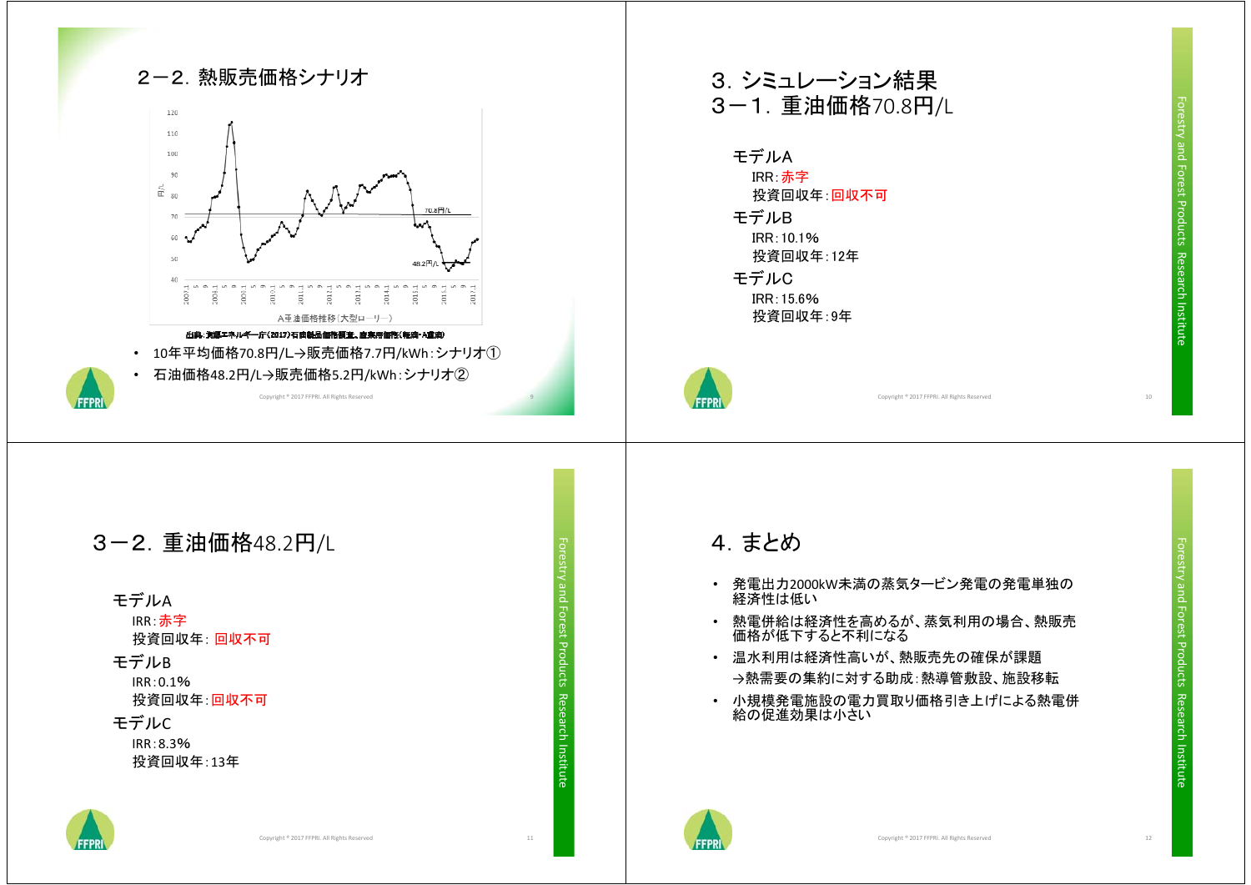